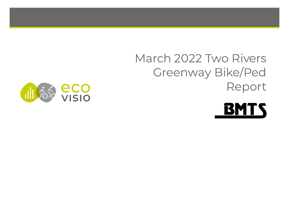# March 2022 Two Rivers Greenway Bike/Ped Report



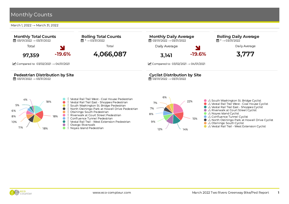March 1, 2022 → March 31, 2022

 $11\%$  18%



- South Washington St. Bridge Pedestrian
- North Ostiningo Park at Howell Drive Pedestrian
- Otsiningo South Pedestrian
- Riverwalk at Court Street Pedestrian
- Confluence Tunnel Pedestrian
- Vestal Rail Trail West Extension Pedestrian
- Owego Riverwalk

18%

 $\bullet$  $\bullet$  $\bullet$  $\bullet$  $\bullet$ 

☆ Noyes Island Pedestrian  $\bullet$ 

15% 9% 8% 7%

 $12\%$  14%



● % Vestal Rail Trail - West Extension Cyclist



10% 8% 6% 5%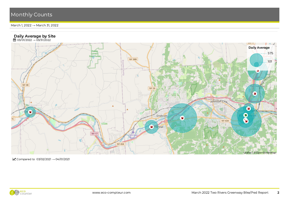March 1, 2022 → March 31, 2022



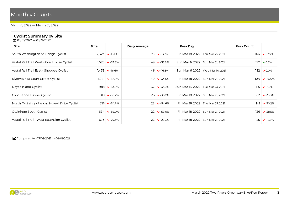March 1, 2022 → March 31, 2022

#### Cyclist Summary by Site

**曲 03/01/2022 → 03/31/2022** 

| ᇤ ♡♡ ♡ '/ 스♡스스                               |       |                                 |               |                     |                                     |  |            |                               |  |
|----------------------------------------------|-------|---------------------------------|---------------|---------------------|-------------------------------------|--|------------|-------------------------------|--|
| Site                                         | Total |                                 | Daily Average |                     | Peak Day                            |  | Peak Count |                               |  |
| South Washington St. Bridge Cyclist          |       | $2,323$ $\triangleright$ -13.1% |               | $75 \times -13.1\%$ | Fri Mar 18, 2022 Thu Mar 25, 2021   |  |            | $164 \times 13.7\%$           |  |
| Vestal Rail Trail West - Coal House Cyclist  |       | $1,525$ $\triangleright$ -33.8% |               | $49 \times -33.8\%$ | Sun Mar 6, 2022   Sun Mar 21, 2021  |  |            | $197 \times 0.5\%$            |  |
| Vestal Rail Trail East - Shoppes Cyclist     |       | 1,435   <b>→</b> -16.6%         |               | $46 \times 16.6\%$  | Sun Mar 6, 2022   Wed Mar 10, 2021  |  |            | $182 \times 0.0\%$            |  |
| Riverwalk at Court Street Cyclist            |       | $1,24$ ] $\bullet$ -34.5%       |               | 40 $\bullet$ -34.5% | Fri Mar 18, 2022   Sun Mar 21, 2021 |  |            | $104 \times -45.0\%$          |  |
| Noves Island Cyclist                         |       | $988 \times -33.0\%$            |               | $32 \times -33.0\%$ | Sun Mar 13, 2022   Tue Mar 23, 2021 |  |            | $115$ $\triangleright$ -2.5%  |  |
| Confluence Tunnel Cyclist                    |       | $818 \times -38.2\%$            |               | $26 \times -38.2\%$ | Fri Mar 18, 2022   Sun Mar 21, 2021 |  |            | 82 $\bullet$ -33.3%           |  |
| North Ostiningo Park at Howell Drive Cyclist |       | $716$ $\triangleright$ -54.6%   |               | $23 \times -54.6\%$ | Fri Mar 18, 2022   Thu Mar 25, 2021 |  |            | $141 \times -30.2\%$          |  |
| Otsiningo South Cyclist                      |       | $694 \times -59.0\%$            |               | $22 \times -59.0\%$ | Fri Mar 18, 2022   Sun Mar 21, 2021 |  |            | $136$ $\triangleright$ -38.5% |  |
| Vestal Rail Trail - West Extension Cyclist   |       | $673$ $\triangleright$ -29.3%   |               | $22 \times -29.3\%$ | Fri Mar 18, 2022   Sun Mar 21, 2021 |  | 125        | $\blacktriangleright$ -12.6%  |  |
|                                              |       |                                 |               |                     |                                     |  |            |                               |  |

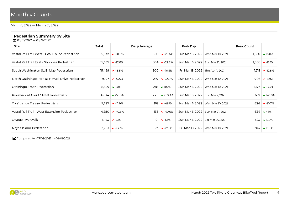March 1, 2022 → March 31, 2022

#### Pedestrian Summary by Site

**曲 03/01/2022 → 03/31/2022** 

| Site                                            | Total  |                                       | Daily Average |                      | Peak Day                           |                                     | Peak Count |                                 |
|-------------------------------------------------|--------|---------------------------------------|---------------|----------------------|------------------------------------|-------------------------------------|------------|---------------------------------|
| Vestal Rail Trail West - Coal House Pedestrian  | 15.647 | $\vee$ -20.6%                         |               | 505 $\sqrt{20.6\%}$  | Sun Mar 6, 2022   Wed Mar 10, 2021 |                                     |            | $1,580$ $\sim$ 16.0%            |
| Vestal Rail Trail East - Shoppes Pedestrian     |        | $15,637$ $\triangleright$ -22.8%      |               | 504 $\bullet$ -22.8% | Sun Mar 6, 2022   Sun Mar 21, 2021 |                                     |            | $1,606$ $\vee$ 17.5%            |
| South Washington St. Bridge Pedestrian          |        | $15,499$ $\blacktriangleright$ -16.5% |               | 500 $\sqrt{-16.5\%}$ | Fri Mar 18, 2022   Thu Apr 1, 2021 |                                     |            | $1,215$ $\triangleright$ -12.8% |
| North Ostiningo Park at Howell Drive Pedestrian |        | $9,197$ $\triangleright$ -33.0%       |               | $297 \times -33.0\%$ | Sun Mar 6, 2022   Wed Mar 10, 2021 |                                     |            | $906 \times -8.9\%$             |
| Otsiningo South Pedestrian                      |        | $8,829$ $\triangle 8.0\%$             |               | $285 \times 8.0\%$   | Sun Mar 6, 2022   Wed Mar 10, 2021 |                                     |            | $1,177$ $\sim$ 67.4%            |
| Riverwalk at Court Street Pedestrian            |        | $6,834$ $\lambda$ 259.3%              |               | $220 \times 259.3\%$ | Sun Mar 6, 2022   Sun Mar 7, 2021  |                                     |            | $667 \times 149.8\%$            |
| Confluence Tunnel Pedestrian                    |        | $5,627$ $\triangleright$ -41.9%       |               | $182 \times -41.9\%$ | Sun Mar 6, 2022   Wed Mar 10, 2021 |                                     |            | $624$ $\bullet$ -10.7%          |
| Vestal Rail Trail - West Extension Pedestrian   |        | 4,280 $\bullet$ -40.6%                |               | $138 \times -40.6\%$ | Sun Mar 6, 2022   Sun Mar 21, 2021 |                                     |            | $634 \times 4.1\%$              |
| Owego Riverwalk                                 |        | $3,143$ $\triangleright$ -5.1%        |               | $101 \times -5.1\%$  | Sun Mar 6, 2022   Sat Mar 20, 2021 |                                     |            | $323 \times 12.2\%$             |
| Noves Island Pedestrian                         |        | $2,253$ $\vee$ -23.1%                 |               | $73 \times -23.1\%$  |                                    | Fri Mar 18, 2022   Wed Mar 10, 2021 |            | $204 \times 15.9\%$             |

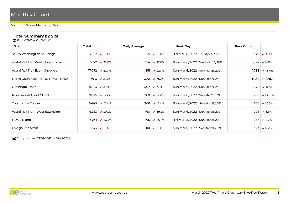March 1, 2022 → March 31, 2022

#### Total Summary by Site

**曲 03/01/2022 → 03/31/2022** 

| Site                                 | Total |                                  | Daily Average |                              | Peak Day                            |  | Peak Count |                                |  |  |  |
|--------------------------------------|-------|----------------------------------|---------------|------------------------------|-------------------------------------|--|------------|--------------------------------|--|--|--|
| South Washington St. Bridge          |       | $17,822$ $\triangleright$ -16.1% |               | $575 \times 16.1\%$          | Fri Mar 18, 2022 Thu Apr 1, 2021    |  |            | $1,379$ $\triangleright$ -4.9% |  |  |  |
| Vestal Rail Trail West - Coal House  |       | $17.172 \times -22.0\%$          |               | $554 \times -22.0\%$         | Sun Mar 6, 2022   Wed Mar 10, 2021  |  |            | $1,777$ $\sim$ 14.1%           |  |  |  |
| Vestal Rail Trail East - Shoppes     |       | $17,072$ $\triangleright$ -22.3% |               | 551 $\vee$ -22.3%            | Sun Mar 6, 2022   Sun Mar 21, 2021  |  |            | $1,788$ $\vee$ 16.0%           |  |  |  |
| North Ostiningo Park at Howell Drive |       | $9,913$ $\bullet$ -35.2%         |               | $320 \times -35.2\%$         | Sun Mar 6, 2022   Sun Mar 21, 2021  |  |            | $1,024$ $\bullet$ -10.8%       |  |  |  |
| Otsiningo South                      |       | $9,523$ $\vee$ -3.5%             |               | $307$ $\triangleright$ -3.5% | Sun Mar 6, 2022   Sun Mar 21, 2021  |  |            | $1,277$ $\sim$ 55.7%           |  |  |  |
| Riverwalk at Court Street            |       | $8,075$ $\sim$ 112.7%            |               | $260 \sim 112.7\%$           | Sun Mar 6, 2022   Sun Mar 7, 2021   |  |            | $768 \times 156.9\%$           |  |  |  |
| Confluence Tunnel                    |       | $6,445$ $\vee$ -41.4%            |               | $208 \times -41.4\%$         | Sun Mar 6, 2022   Sun Mar 21, 2021  |  |            | $686 \rightarrow -12.2\%$      |  |  |  |
| Vestal Rail Trail - West Extension   |       | $4.953 \rightarrow 39.3\%$       |               | $160 \times -39.3\%$         | Sun Mar 6, 2022   Sun Mar 21, 2021  |  |            | $726 \times -3.5\%$            |  |  |  |
| Noyes Island                         |       | $3,241$ $\vee$ -26.4%            |               | $105 \times -26.4\%$         | Fri Mar 18, 2022   Sun Mar 21, 2021 |  |            | $257 \times -6.2\%$            |  |  |  |
| Owego Riverwalk                      |       | $3,143$ $\triangleright$ -5.1%   | 101           | $\triangleright$ -5.1%       | Sun Mar 6, 2022   Sat Mar 20, 2021  |  |            | $323$ $\triangle$ 12.2%        |  |  |  |